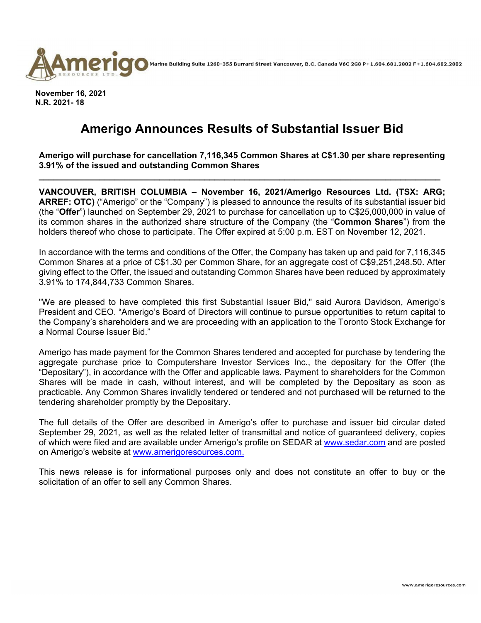

Marine Building Suite 1260-355 Burrard Street Vancouver, B.C. Canada V6C 2G8 P+1.604.681.2802 F+1.604.682.2802

**November 16, 2021 N.R. 2021- 18** 

## **Amerigo Announces Results of Substantial Issuer Bid**

**Amerigo will purchase for cancellation 7,116,345 Common Shares at C\$1.30 per share representing 3.91% of the issued and outstanding Common Shares** 

**\_\_\_\_\_\_\_\_\_\_\_\_\_\_\_\_\_\_\_\_\_\_\_\_\_\_\_\_\_\_\_\_\_\_\_\_\_\_\_\_\_\_\_\_\_\_\_\_\_\_\_\_\_\_\_\_\_\_\_\_\_\_\_\_\_\_\_\_\_\_\_\_\_\_\_\_\_\_\_\_** 

**VANCOUVER, BRITISH COLUMBIA – November 16, 2021/Amerigo Resources Ltd. (TSX: ARG; ARREF: OTC)** ("Amerigo" or the "Company") is pleased to announce the results of its substantial issuer bid (the "**Offer**") launched on September 29, 2021 to purchase for cancellation up to C\$25,000,000 in value of its common shares in the authorized share structure of the Company (the "**Common Shares**") from the holders thereof who chose to participate. The Offer expired at 5:00 p.m. EST on November 12, 2021.

In accordance with the terms and conditions of the Offer, the Company has taken up and paid for 7,116,345 Common Shares at a price of C\$1.30 per Common Share, for an aggregate cost of C\$9,251,248.50. After giving effect to the Offer, the issued and outstanding Common Shares have been reduced by approximately 3.91% to 174,844,733 Common Shares.

"We are pleased to have completed this first Substantial Issuer Bid," said Aurora Davidson, Amerigo's President and CEO. "Amerigo's Board of Directors will continue to pursue opportunities to return capital to the Company's shareholders and we are proceeding with an application to the Toronto Stock Exchange for a Normal Course Issuer Bid."

Amerigo has made payment for the Common Shares tendered and accepted for purchase by tendering the aggregate purchase price to Computershare Investor Services Inc., the depositary for the Offer (the "Depositary"), in accordance with the Offer and applicable laws. Payment to shareholders for the Common Shares will be made in cash, without interest, and will be completed by the Depositary as soon as practicable. Any Common Shares invalidly tendered or tendered and not purchased will be returned to the tendering shareholder promptly by the Depositary.

The full details of the Offer are described in Amerigo's offer to purchase and issuer bid circular dated September 29, 2021, as well as the related letter of transmittal and notice of guaranteed delivery, copies of which were filed and are available under Amerigo's profile on SEDAR at www.sedar.com and are posted on Amerigo's website at www.amerigoresources.com.

This news release is for informational purposes only and does not constitute an offer to buy or the solicitation of an offer to sell any Common Shares.